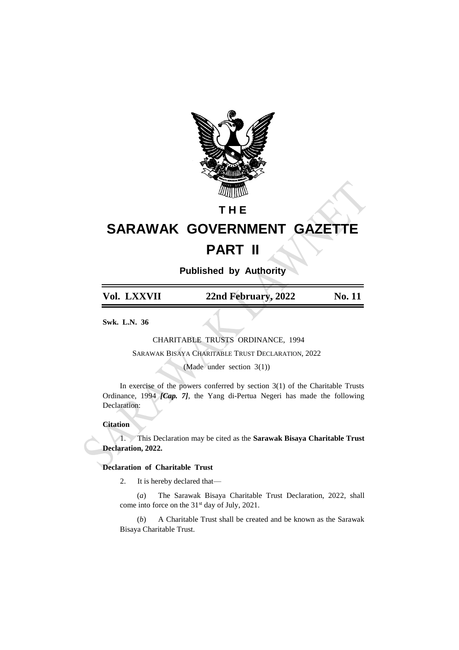

# **T H E**

# **SARAWAK GOVERNMENT GAZETTE PART II**

**Published by Authority**

| Vol. LXXVII | 22nd February, 2022 | No. 11 |
|-------------|---------------------|--------|

**Swk. L.N. 36**

CHARITABLE TRUSTS ORDINANCE, 1994

SARAWAK BISAYA CHARITABLE TRUST DECLARATION, 2022

(Made under section 3(1))

In exercise of the powers conferred by section  $3(1)$  of the Charitable Trusts Ordinance, 1994 *[Cap. 7]*, the Yang di-Pertua Negeri has made the following Declaration:

## **Citation**

1. This Declaration may be cited as the **Sarawak Bisaya Charitable Trust Declaration, 2022.**

## **Declaration of Charitable Trust**

2. It is hereby declared that—

(*a*) The Sarawak Bisaya Charitable Trust Declaration, 2022, shall come into force on the 31st day of July, 2021.

(*b*) A Charitable Trust shall be created and be known as the Sarawak Bisaya Charitable Trust.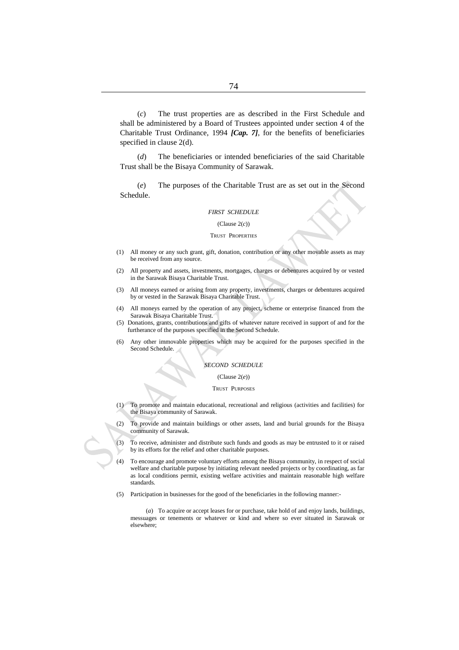(*c*) The trust properties are as described in the First Schedule and shall be administered by a Board of Trustees appointed under section 4 of the Charitable Trust Ordinance, 1994 *[Cap. 7]*, for the benefits of beneficiaries specified in clause 2(d).

(*d*) The beneficiaries or intended beneficiaries of the said Charitable Trust shall be the Bisaya Community of Sarawak.

(*e*) The purposes of the Charitable Trust are as set out in the Second Schedule.

#### *FIRST SCHEDULE*

(Clause 2(*c*))

#### TRUST PROPERTIES

- (1) All money or any such grant, gift, donation, contribution or any other movable assets as may be received from any source.
- (2) All property and assets, investments, mortgages, charges or debentures acquired by or vested in the Sarawak Bisaya Charitable Trust.
- (3) All moneys earned or arising from any property, investments, charges or debentures acquired by or vested in the Sarawak Bisaya Charitable Trust.
- (4) All moneys earned by the operation of any project, scheme or enterprise financed from the Sarawak Bisaya Charitable Trust.
- (5) Donations, grants, contributions and gifts of whatever nature received in support of and for the furtherance of the purposes specified in the Second Schedule.
- (6) Any other immovable properties which may be acquired for the purposes specified in the Second Schedule.

### *SECOND SCHEDULE*

#### (Clause 2(*e*))

#### TRUST PURPOSES

- (1) To promote and maintain educational, recreational and religious (activities and facilities) for the Bisaya community of Sarawak.
- (2) To provide and maintain buildings or other assets, land and burial grounds for the Bisaya community of Sarawak.

(3) To receive, administer and distribute such funds and goods as may be entrusted to it or raised by its efforts for the relief and other charitable purposes.

- (4) To encourage and promote voluntary efforts among the Bisaya community, in respect of social welfare and charitable purpose by initiating relevant needed projects or by coordinating, as far as local conditions permit, existing welfare activities and maintain reasonable high welfare standards.
- (5) Participation in businesses for the good of the beneficiaries in the following manner:-

(*a*) To acquire or accept leases for or purchase, take hold of and enjoy lands, buildings, messuages or tenements or whatever or kind and where so ever situated in Sarawak or elsewhere;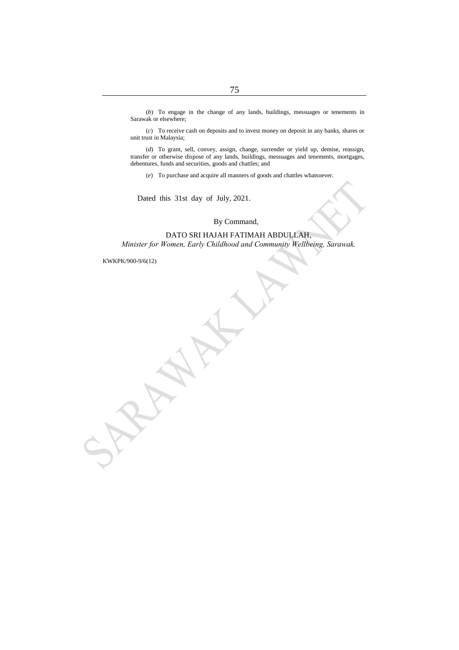(*b*) To engage in the change of any lands, buildings, messuages or tenements in Sarawak or elsewhere;

(*c*) To receive cash on deposits and to invest money on deposit in any banks, shares or unit trust in Malaysia;

(*d*) To grant, sell, convey, assign, change, surrender or yield up, demise, reassign, transfer or otherwise dispose of any lands, buildings, messuages and tenements, mortgages, debentures, funds and securities, goods and chattles; and

(*e*) To purchase and acquire all manners of goods and chattles whatsoever.

Dated this 31st day of July, 2021.

## By Command,

DATO SRI HAJAH FATIMAH ABDULLAH, *Minister for Women, Early Childhood and Community Wellbeing, Sarawak.*

KWKPK/900-9/6(12)